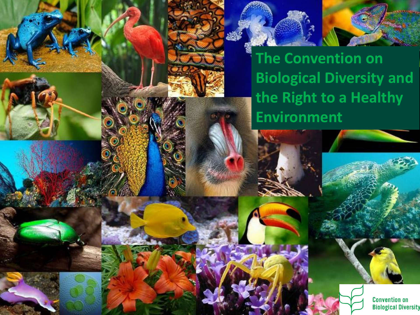

**The Convention on Biological Diversity and the Right to a Healthy Environment**

> **Convention on Biological Diversity**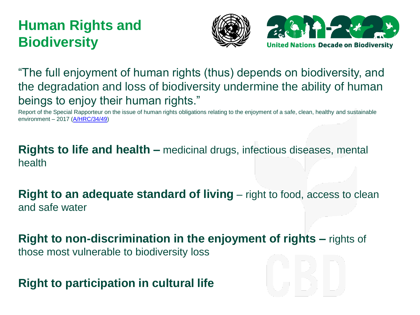#### **Human Rights and Biodiversity**





"The full enjoyment of human rights (thus) depends on biodiversity, and the degradation and loss of biodiversity undermine the ability of human beings to enjoy their human rights."

Report of the Special Rapporteur on the issue of human rights obligations relating to the enjoyment of a safe, clean, healthy and sustainable environment – 2017 [\(A/HRC/34/49\)](https://undocs.org/A/HRC/34/49)

**Rights to life and health –** medicinal drugs, infectious diseases, mental health

**Right to an adequate standard of living** – right to food, access to clean and safe water

**Right to non-discrimination in the enjoyment of rights –** rights of those most vulnerable to biodiversity loss

**Right to participation in cultural life**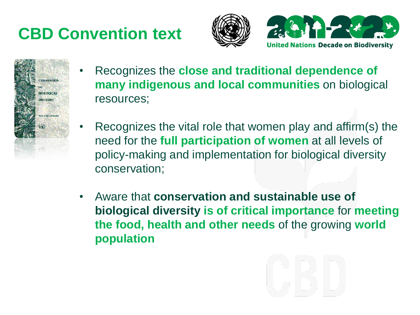# **CBD Convention text**







- Recognizes the **close and traditional dependence of many indigenous and local communities** on biological resources;
- Recognizes the vital role that women play and affirm(s) the need for the **full participation of women** at all levels of policy-making and implementation for biological diversity conservation;
- Aware that **conservation and sustainable use of biological diversity is of critical importance** for **meeting the food, health and other needs** of the growing **world population**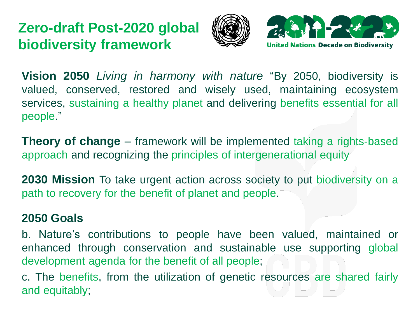### **Zero-draft Post-2020 global biodiversity framework**





**Vision 2050** *Living in harmony with nature* "By 2050, biodiversity is valued, conserved, restored and wisely used, maintaining ecosystem services, sustaining a healthy planet and delivering benefits essential for all people."

**Theory of change** – framework will be implemented taking a rights-based approach and recognizing the principles of intergenerational equity

**2030 Mission** To take urgent action across society to put biodiversity on a path to recovery for the benefit of planet and people.

#### **2050 Goals**

b. Nature's contributions to people have been valued, maintained or enhanced through conservation and sustainable use supporting global development agenda for the benefit of all people;

c. The benefits, from the utilization of genetic resources are shared fairly and equitably;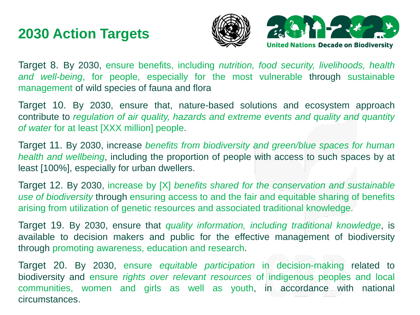#### **2030 Action Targets**





Target 8. By 2030, ensure benefits, including *nutrition, food security, livelihoods, health and well-being*, for people, especially for the most vulnerable through sustainable management of wild species of fauna and flora

Target 10. By 2030, ensure that, nature-based solutions and ecosystem approach contribute to *regulation of air quality, hazards and extreme events and quality and quantity of water* for at least [XXX million] people.

Target 11. By 2030, increase *benefits from biodiversity and green/blue spaces for human health and wellbeing*, including the proportion of people with access to such spaces by at least [100%], especially for urban dwellers.

Target 12. By 2030, increase by [X] *benefits shared for the conservation and sustainable use of biodiversity* through ensuring access to and the fair and equitable sharing of benefits arising from utilization of genetic resources and associated traditional knowledge.

Target 19. By 2030, ensure that *quality information, including traditional knowledge*, is available to decision makers and public for the effective management of biodiversity through promoting awareness, education and research.

Target 20. By 2030, ensure *equitable participation* in decision-making related to biodiversity and ensure *rights over relevant resources* of indigenous peoples and local communities, women and girls as well as youth, in accordance with national circumstances.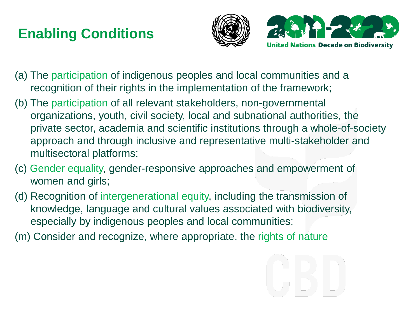## **Enabling Conditions**





- (a) The participation of indigenous peoples and local communities and a recognition of their rights in the implementation of the framework;
- (b) The participation of all relevant stakeholders, non-governmental organizations, youth, civil society, local and subnational authorities, the private sector, academia and scientific institutions through a whole-of-society approach and through inclusive and representative multi-stakeholder and multisectoral platforms;
- (c) Gender equality, gender-responsive approaches and empowerment of women and girls;
- (d) Recognition of intergenerational equity, including the transmission of knowledge, language and cultural values associated with biodiversity, especially by indigenous peoples and local communities;
- (m) Consider and recognize, where appropriate, the rights of nature

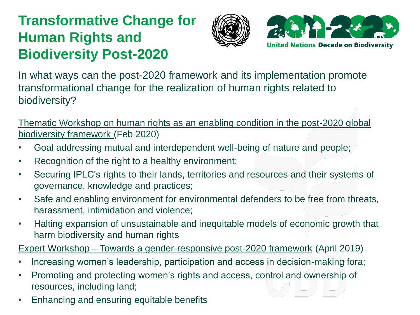### **Transformative Change for Human Rights and Biodiversity Post-2020**





In what ways can the post-2020 framework and its implementation promote transformational change for the realization of human rights related to biodiversity?

Thematic Workshop on human rights as an enabling condition in the post-2020 global biodiversity framework (Feb 2020)

- Goal addressing mutual and interdependent well-being of nature and people;
- Recognition of the right to a healthy environment;
- Securing IPLC's rights to their lands, territories and resources and their systems of governance, knowledge and practices;
- Safe and enabling environment for environmental defenders to be free from threats, harassment, intimidation and violence;
- Halting expansion of unsustainable and inequitable models of economic growth that harm biodiversity and human rights

Expert Workshop – Towards a gender-responsive post-2020 framework (April 2019)

- Increasing women's leadership, participation and access in decision-making fora;
- Promoting and protecting women's rights and access, control and ownership of resources, including land;
- Enhancing and ensuring equitable benefits